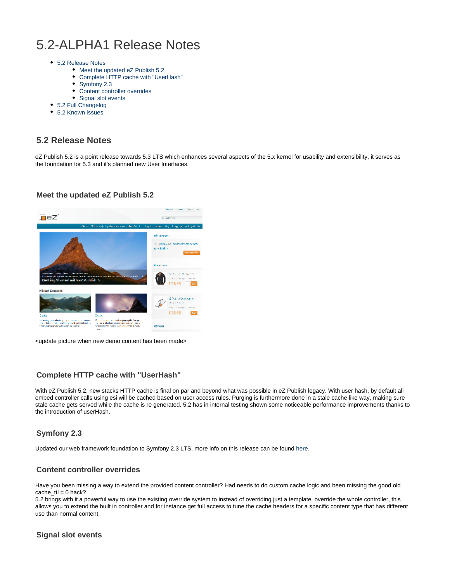# 5.2-ALPHA1 Release Notes

- [5.2 Release Notes](#page-0-0)
	- [Meet the updated eZ Publish 5.2](#page-0-1)
	- [Complete HTTP cache with "UserHash"](#page-0-2)  $\bullet$
	- [Symfony 2.3](#page-0-3)
	- [Content controller overrides](#page-0-4)
	- [Signal slot events](#page-0-5)
- [5.2 Full Changelog](#page-0-6)
- [5.2 Known issues](#page-1-0)

### <span id="page-0-0"></span>**5.2 Release Notes**

eZ Publish 5.2 is a point release towards 5.3 LTS which enhances several aspects of the 5.x kernel for usability and extensibility, it serves as the foundation for 5.3 and it's planned new User Interfaces.

#### **Meet the updated eZ Publish 5.2**

<span id="page-0-1"></span>

<update picture when new demo content has been made>

#### <span id="page-0-2"></span>**Complete HTTP cache with "UserHash"**

With eZ Publish 5.2, new stacks HTTP cache is final on par and beyond what was possible in eZ Publish legacy. With user hash, by default all embed controller calls using esi will be cached based on user access rules. Purging is furthermore done in a stale cache like way, making sure stale cache gets served while the cache is re generated. 5.2 has in internal testing shown some noticeable performance improvements thanks to the introduction of userHash.

#### <span id="page-0-3"></span>**Symfony 2.3**

Updated our web framework foundation to Symfony 2.3 LTS, more info on this release can be found [here](http://symfony.com/blog/symfony-2-3-0-the-first-lts-is-now-available).

#### <span id="page-0-4"></span>**Content controller overrides**

Have you been missing a way to extend the provided content controller? Had needs to do custom cache logic and been missing the good old cache  $ttl = 0$  hack?

5.2 brings with it a powerful way to use the existing override system to instead of overriding just a template, override the whole controller, this allows you to extend the built in controller and for instance get full access to tune the cache headers for a specific content type that has different use than normal content.

#### <span id="page-0-6"></span><span id="page-0-5"></span>**Signal slot events**